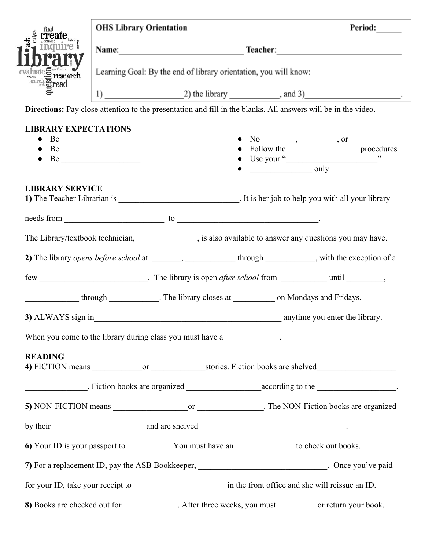| find                                                                                                          | <b>OHS Library Orientation</b>                                                                                                                                                                                                      |                                                                                                       |                      | Period:                                                                                                   |  |  |
|---------------------------------------------------------------------------------------------------------------|-------------------------------------------------------------------------------------------------------------------------------------------------------------------------------------------------------------------------------------|-------------------------------------------------------------------------------------------------------|----------------------|-----------------------------------------------------------------------------------------------------------|--|--|
| ask                                                                                                           | Name: <u>Name:</u> Name: Name: Name: Name: Name: Name: Name: Name: Name: Name: Name: Name: Name: Name: Name: Name: Name: Name: Name: Name: Name: Name: Name: Name: Name: Name: Name: Name: Name: Name: Name: Name: Name: Name: Name |                                                                                                       |                      |                                                                                                           |  |  |
| evaluate Symbolic research                                                                                    | Learning Goal: By the end of library orientation, you will know:                                                                                                                                                                    |                                                                                                       |                      |                                                                                                           |  |  |
|                                                                                                               |                                                                                                                                                                                                                                     |                                                                                                       |                      |                                                                                                           |  |  |
| Directions: Pay close attention to the presentation and fill in the blanks. All answers will be in the video. |                                                                                                                                                                                                                                     |                                                                                                       |                      |                                                                                                           |  |  |
| <b>LIBRARY EXPECTATIONS</b>                                                                                   |                                                                                                                                                                                                                                     |                                                                                                       |                      |                                                                                                           |  |  |
| $\bullet$                                                                                                     |                                                                                                                                                                                                                                     |                                                                                                       |                      | $\frac{N_0}{\frac{N_0}{N_0} \frac{N_0}{N_0}}$ , or $\frac{N_0}{N_0}$                                      |  |  |
| $\bullet$                                                                                                     |                                                                                                                                                                                                                                     |                                                                                                       |                      | Use your " $\qquad \qquad$ ""                                                                             |  |  |
|                                                                                                               |                                                                                                                                                                                                                                     |                                                                                                       | $\frac{\ }{\ }$ only |                                                                                                           |  |  |
| <b>LIBRARY SERVICE</b>                                                                                        |                                                                                                                                                                                                                                     |                                                                                                       |                      |                                                                                                           |  |  |
|                                                                                                               |                                                                                                                                                                                                                                     |                                                                                                       |                      |                                                                                                           |  |  |
|                                                                                                               |                                                                                                                                                                                                                                     |                                                                                                       |                      |                                                                                                           |  |  |
|                                                                                                               |                                                                                                                                                                                                                                     |                                                                                                       |                      | The Library/textbook technician, _______________, is also available to answer any questions you may have. |  |  |
|                                                                                                               |                                                                                                                                                                                                                                     |                                                                                                       |                      |                                                                                                           |  |  |
|                                                                                                               |                                                                                                                                                                                                                                     |                                                                                                       |                      |                                                                                                           |  |  |
|                                                                                                               |                                                                                                                                                                                                                                     |                                                                                                       |                      |                                                                                                           |  |  |
|                                                                                                               |                                                                                                                                                                                                                                     | through The library closes at _________ on Mondays and Fridays.                                       |                      |                                                                                                           |  |  |
|                                                                                                               |                                                                                                                                                                                                                                     |                                                                                                       |                      |                                                                                                           |  |  |
| When you come to the library during class you must have a                                                     |                                                                                                                                                                                                                                     |                                                                                                       |                      |                                                                                                           |  |  |
| <b>READING</b>                                                                                                |                                                                                                                                                                                                                                     |                                                                                                       |                      |                                                                                                           |  |  |
|                                                                                                               |                                                                                                                                                                                                                                     |                                                                                                       |                      |                                                                                                           |  |  |
|                                                                                                               |                                                                                                                                                                                                                                     |                                                                                                       |                      |                                                                                                           |  |  |
|                                                                                                               |                                                                                                                                                                                                                                     |                                                                                                       |                      |                                                                                                           |  |  |
| by their entertainment and are shelved example.                                                               |                                                                                                                                                                                                                                     |                                                                                                       |                      |                                                                                                           |  |  |
| 6) Your ID is your passport to __________. You must have an ______________ to check out books.                |                                                                                                                                                                                                                                     |                                                                                                       |                      |                                                                                                           |  |  |
|                                                                                                               |                                                                                                                                                                                                                                     |                                                                                                       |                      | 7) For a replacement ID, pay the ASB Bookkeeper, _____________________________. Once you've paid          |  |  |
|                                                                                                               |                                                                                                                                                                                                                                     |                                                                                                       |                      |                                                                                                           |  |  |
|                                                                                                               |                                                                                                                                                                                                                                     | 8) Books are checked out for ____________. After three weeks, you must _________ or return your book. |                      |                                                                                                           |  |  |